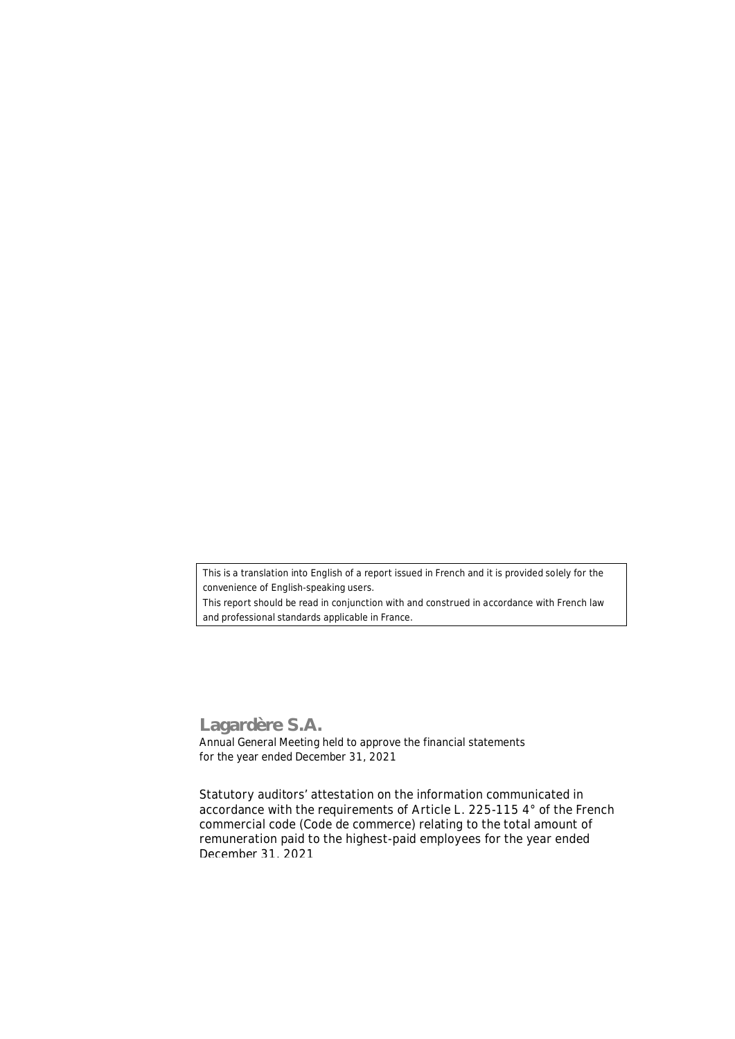*This is a translation into English of a report issued in French and it is provided solely for the convenience of English-speaking users.*

*This report should be read in conjunction with and construed in accordance with French law and professional standards applicable in France*.

## **Lagardère S.A.**

Annual General Meeting held to approve the financial statements for the year ended December 31, 2021

**Statutory auditors' attestation on the information communicated in accordance with the requirements of Article L. 225-115 4° of the French commercial code (***Code de commerce***) relating to the total amount of remuneration paid to the highest-paid employees for the year ended December 31, 2021**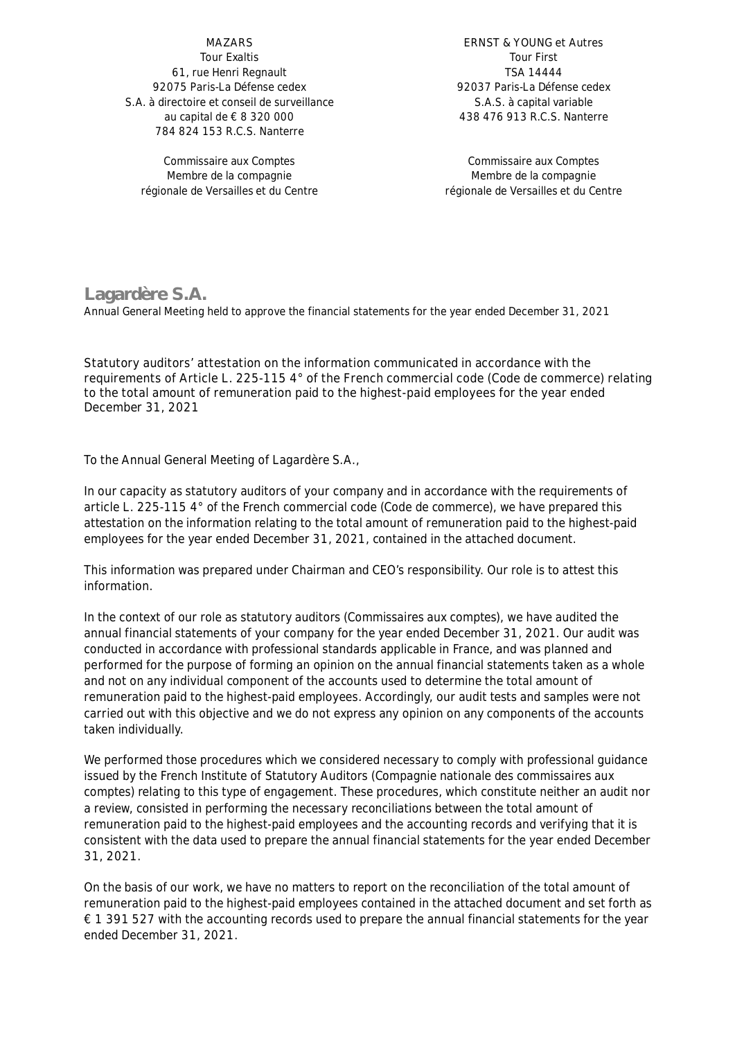## **MAZARS** Tour Exaltis

61, rue Henri Regnault 92075 Paris-La Défense cedex S.A. à directoire et conseil de surveillance au capital de € 8 320 000 784 824 153 R.C.S. Nanterre

Commissaire aux Comptes Membre de la compagnie régionale de Versailles et du Centre

**ERNST & YOUNG et Autres** Tour First TSA 14444 92037 Paris-La Défense cedex S.A.S. à capital variable 438 476 913 R.C.S. Nanterre

Commissaire aux Comptes Membre de la compagnie régionale de Versailles et du Centre

## **Lagardère S.A.**

Annual General Meeting held to approve the financial statements for the year ended December 31, 2021

**Statutory auditors' attestation on the information communicated in accordance with the requirements of Article L. 225-115 4° of the French commercial code (***Code de commerce***) relating to the total amount of remuneration paid to the highest-paid employees for the year ended December 31, 2021**

To the Annual General Meeting of Lagardère S.A.,

In our capacity as statutory auditors of your company and in accordance with the requirements of article L. 225-115 4° of the French commercial code *(Code de commerce)*, we have prepared this attestation on the information relating to the total amount of remuneration paid to the highest-paid employees for the year ended December 31, 2021, contained in the attached document.

This information was prepared under Chairman and CEO's responsibility. Our role is to attest this information.

In the context of our role as statutory auditors *(Commissaires aux comptes)*, we have audited the annual financial statements of your company for the year ended December 31, 2021. Our audit was conducted in accordance with professional standards applicable in France, and was planned and performed for the purpose of forming an opinion on the annual financial statements taken as a whole and not on any individual component of the accounts used to determine the total amount of remuneration paid to the highest-paid employees. Accordingly, our audit tests and samples were not carried out with this objective and we do not express any opinion on any components of the accounts taken individually.

We performed those procedures which we considered necessary to comply with professional guidance issued by the French Institute of Statutory Auditors *(Compagnie nationale des commissaires aux comptes)* relating to this type of engagement. These procedures, which constitute neither an audit nor a review, consisted in performing the necessary reconciliations between the total amount of remuneration paid to the highest-paid employees and the accounting records and verifying that it is consistent with the data used to prepare the annual financial statements for the year ended December 31, 2021.

On the basis of our work, we have no matters to report on the reconciliation of the total amount of remuneration paid to the highest-paid employees contained in the attached document and set forth as € 1 391 527 with the accounting records used to prepare the annual financial statements for the year ended December 31, 2021.